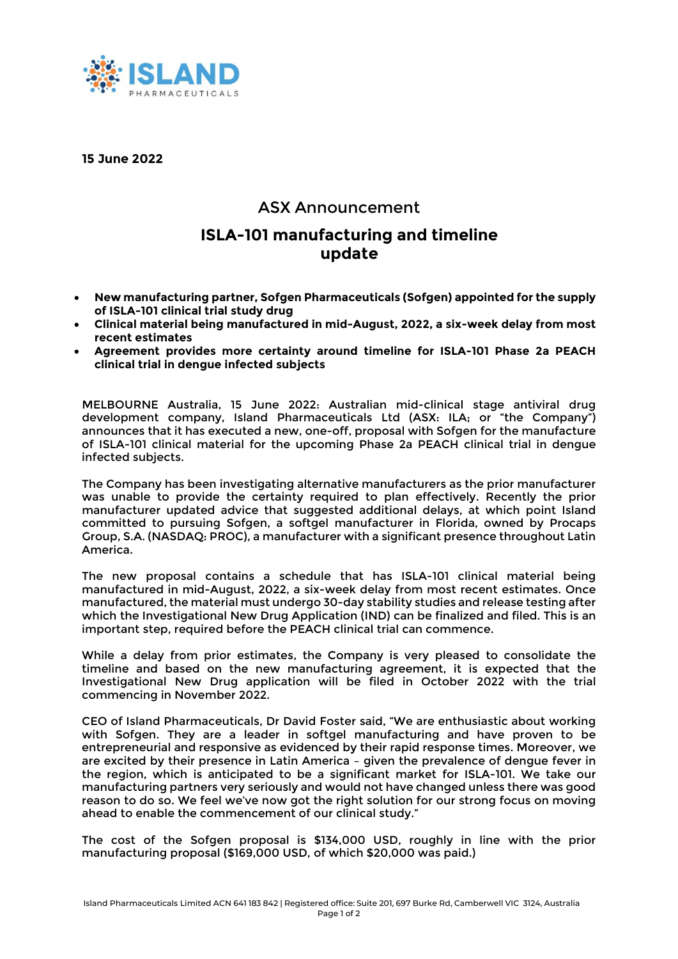

**15 June 2022**

## ASX Announcement

# **ISLA-101 manufacturing and timeline update**

- **New manufacturing partner, Sofgen Pharmaceuticals (Sofgen) appointed for the supply of ISLA-101 clinical trial study drug**
- **Clinical material being manufactured in mid-August, 2022, a six-week delay from most recent estimates**
- **Agreement provides more certainty around timeline for ISLA-101 Phase 2a PEACH clinical trial in dengue infected subjects**

MELBOURNE Australia, 15 June 2022: Australian mid-clinical stage antiviral drug development company, Island Pharmaceuticals Ltd (ASX: ILA; or "the Company") announces that it has executed a new, one-off, proposal with Sofgen for the manufacture of ISLA-101 clinical material for the upcoming Phase 2a PEACH clinical trial in dengue infected subjects.

The Company has been investigating alternative manufacturers as the prior manufacturer was unable to provide the certainty required to plan effectively. Recently the prior manufacturer updated advice that suggested additional delays, at which point Island committed to pursuing Sofgen, a softgel manufacturer in Florida, owned by Procaps Group, S.A. (NASDAQ: PROC), a manufacturer with a significant presence throughout Latin America.

The new proposal contains a schedule that has ISLA-101 clinical material being manufactured in mid-August, 2022, a six-week delay from most recent estimates. Once manufactured, the material must undergo 30-day stability studies and release testing after which the Investigational New Drug Application (IND) can be finalized and filed. This is an important step, required before the PEACH clinical trial can commence.

While a delay from prior estimates, the Company is very pleased to consolidate the timeline and based on the new manufacturing agreement, it is expected that the Investigational New Drug application will be filed in October 2022 with the trial commencing in November 2022.

CEO of Island Pharmaceuticals, Dr David Foster said, "We are enthusiastic about working with Sofgen. They are a leader in softgel manufacturing and have proven to be entrepreneurial and responsive as evidenced by their rapid response times. Moreover, we are excited by their presence in Latin America – given the prevalence of dengue fever in the region, which is anticipated to be a significant market for ISLA-101. We take our manufacturing partners very seriously and would not have changed unless there was good reason to do so. We feel we've now got the right solution for our strong focus on moving ahead to enable the commencement of our clinical study."

The cost of the Sofgen proposal is \$134,000 USD, roughly in line with the prior manufacturing proposal (\$169,000 USD, of which \$20,000 was paid.)